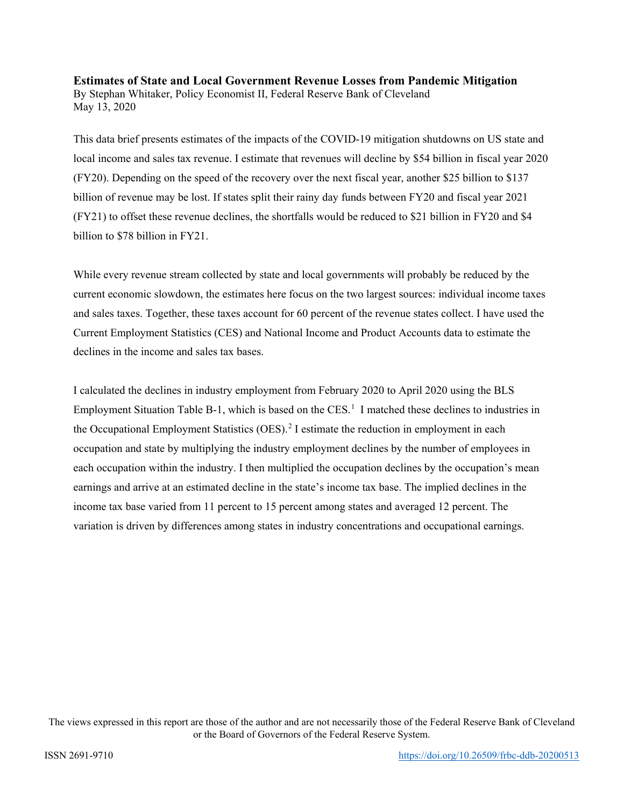# **Estimates of State and Local Government Revenue Losses from Pandemic Mitigation** By Stephan Whitaker, Policy Economist II, Federal Reserve Bank of Cleveland May 13, 2020

This data brief presents estimates of the impacts of the COVID-19 mitigation shutdowns on US state and local income and sales tax revenue. I estimate that revenues will decline by \$54 billion in fiscal year 2020 (FY20). Depending on the speed of the recovery over the next fiscal year, another \$25 billion to \$137 billion of revenue may be lost. If states split their rainy day funds between FY20 and fiscal year 2021 (FY21) to offset these revenue declines, the shortfalls would be reduced to \$21 billion in FY20 and \$4 billion to \$78 billion in FY21.

While every revenue stream collected by state and local governments will probably be reduced by the current economic slowdown, the estimates here focus on the two largest sources: individual income taxes and sales taxes. Together, these taxes account for 60 percent of the revenue states collect. I have used the Current Employment Statistics (CES) and National Income and Product Accounts data to estimate the declines in the income and sales tax bases.

I calculated the declines in industry employment from February 2020 to April 2020 using the BLS Employment Situation Table B-[1](#page-10-0), which is based on the CES.<sup>1</sup> I matched these declines to industries in the Occupational Employment Statistics (OES).<sup>[2](#page-10-1)</sup> I estimate the reduction in employment in each occupation and state by multiplying the industry employment declines by the number of employees in each occupation within the industry. I then multiplied the occupation declines by the occupation's mean earnings and arrive at an estimated decline in the state's income tax base. The implied declines in the income tax base varied from 11 percent to 15 percent among states and averaged 12 percent. The variation is driven by differences among states in industry concentrations and occupational earnings.

The views expressed in this report are those of the author and are not necessarily those of the Federal Reserve Bank of Cleveland or the Board of Governors of the Federal Reserve System.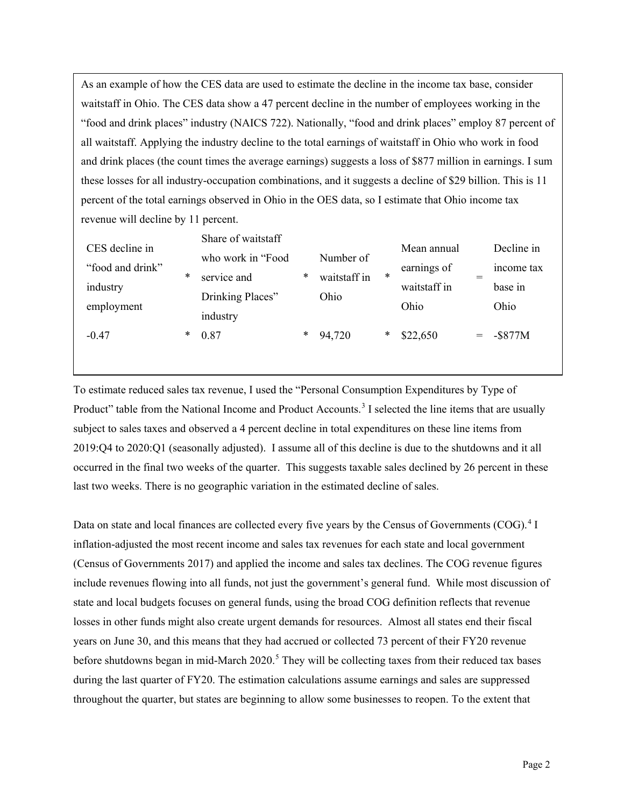As an example of how the CES data are used to estimate the decline in the income tax base, consider waitstaff in Ohio. The CES data show a 47 percent decline in the number of employees working in the "food and drink places" industry (NAICS 722). Nationally, "food and drink places" employ 87 percent of all waitstaff. Applying the industry decline to the total earnings of waitstaff in Ohio who work in food and drink places (the count times the average earnings) suggests a loss of \$877 million in earnings. I sum these losses for all industry-occupation combinations, and it suggests a decline of \$29 billion. This is 11 percent of the total earnings observed in Ohio in the OES data, so I estimate that Ohio income tax revenue will decline by 11 percent.

| CES decline in   |        | Share of waitstaff           |        |              |        | Mean annual  |     | Decline in |
|------------------|--------|------------------------------|--------|--------------|--------|--------------|-----|------------|
| "food and drink" |        | who work in "Food"           |        | Number of    |        | earnings of  |     | income tax |
| industry         | $\ast$ | service and                  | $\ast$ | waitstaff in | $\ast$ | waitstaff in |     | base in    |
| employment       |        | Drinking Places"<br>industry |        | Ohio         |        | Ohio         |     | Ohio       |
| $-0.47$          | *      | 0.87                         | *      | 94,720       | *      | \$22,650     | $=$ | $-$ \$877M |
|                  |        |                              |        |              |        |              |     |            |

To estimate reduced sales tax revenue, I used the "Personal Consumption Expenditures by Type of Product" table from the National Income and Product Accounts.<sup>[3](#page-10-2)</sup> I selected the line items that are usually subject to sales taxes and observed a 4 percent decline in total expenditures on these line items from 2019:Q4 to 2020:Q1 (seasonally adjusted). I assume all of this decline is due to the shutdowns and it all occurred in the final two weeks of the quarter. This suggests taxable sales declined by 26 percent in these last two weeks. There is no geographic variation in the estimated decline of sales.

Data on state and local finances are collected every five years by the Census of Governments (COG).<sup>[4](#page-10-3)</sup> I inflation-adjusted the most recent income and sales tax revenues for each state and local government (Census of Governments 2017) and applied the income and sales tax declines. The COG revenue figures include revenues flowing into all funds, not just the government's general fund. While most discussion of state and local budgets focuses on general funds, using the broad COG definition reflects that revenue losses in other funds might also create urgent demands for resources. Almost all states end their fiscal years on June 30, and this means that they had accrued or collected 73 percent of their FY20 revenue before shutdowns began in mid-March 2020.<sup>[5](#page-10-4)</sup> They will be collecting taxes from their reduced tax bases during the last quarter of FY20. The estimation calculations assume earnings and sales are suppressed throughout the quarter, but states are beginning to allow some businesses to reopen. To the extent that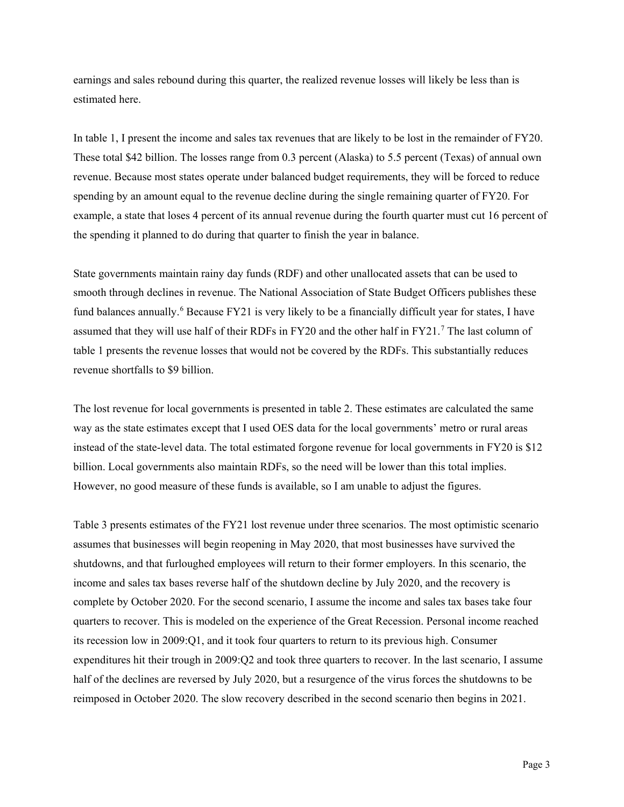earnings and sales rebound during this quarter, the realized revenue losses will likely be less than is estimated here.

In table 1, I present the income and sales tax revenues that are likely to be lost in the remainder of FY20. These total \$42 billion. The losses range from 0.3 percent (Alaska) to 5.5 percent (Texas) of annual own revenue. Because most states operate under balanced budget requirements, they will be forced to reduce spending by an amount equal to the revenue decline during the single remaining quarter of FY20. For example, a state that loses 4 percent of its annual revenue during the fourth quarter must cut 16 percent of the spending it planned to do during that quarter to finish the year in balance.

State governments maintain rainy day funds (RDF) and other unallocated assets that can be used to smooth through declines in revenue. The National Association of State Budget Officers publishes these fund balances annually.<sup>[6](#page-10-5)</sup> Because FY21 is very likely to be a financially difficult year for states, I have assumed that they will use half of their RDFs in FY20 and the other half in FY21.<sup>[7](#page-10-6)</sup> The last column of table 1 presents the revenue losses that would not be covered by the RDFs. This substantially reduces revenue shortfalls to \$9 billion.

The lost revenue for local governments is presented in table 2. These estimates are calculated the same way as the state estimates except that I used OES data for the local governments' metro or rural areas instead of the state-level data. The total estimated forgone revenue for local governments in FY20 is \$12 billion. Local governments also maintain RDFs, so the need will be lower than this total implies. However, no good measure of these funds is available, so I am unable to adjust the figures.

Table 3 presents estimates of the FY21 lost revenue under three scenarios. The most optimistic scenario assumes that businesses will begin reopening in May 2020, that most businesses have survived the shutdowns, and that furloughed employees will return to their former employers. In this scenario, the income and sales tax bases reverse half of the shutdown decline by July 2020, and the recovery is complete by October 2020. For the second scenario, I assume the income and sales tax bases take four quarters to recover. This is modeled on the experience of the Great Recession. Personal income reached its recession low in 2009:Q1, and it took four quarters to return to its previous high. Consumer expenditures hit their trough in 2009:Q2 and took three quarters to recover. In the last scenario, I assume half of the declines are reversed by July 2020, but a resurgence of the virus forces the shutdowns to be reimposed in October 2020. The slow recovery described in the second scenario then begins in 2021.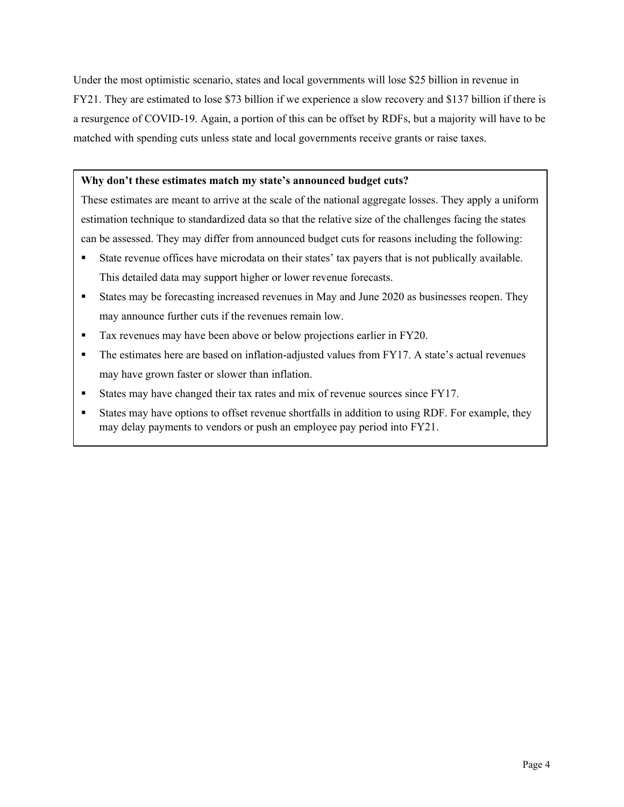Under the most optimistic scenario, states and local governments will lose \$25 billion in revenue in FY21. They are estimated to lose \$73 billion if we experience a slow recovery and \$137 billion if there is a resurgence of COVID-19. Again, a portion of this can be offset by RDFs, but a majority will have to be matched with spending cuts unless state and local governments receive grants or raise taxes.

## **Why don't these estimates match my state's announced budget cuts?**

These estimates are meant to arrive at the scale of the national aggregate losses. They apply a uniform estimation technique to standardized data so that the relative size of the challenges facing the states can be assessed. They may differ from announced budget cuts for reasons including the following:

- State revenue offices have microdata on their states' tax payers that is not publically available. This detailed data may support higher or lower revenue forecasts.
- States may be forecasting increased revenues in May and June 2020 as businesses reopen. They may announce further cuts if the revenues remain low.
- Tax revenues may have been above or below projections earlier in FY20.
- The estimates here are based on inflation-adjusted values from FY17. A state's actual revenues may have grown faster or slower than inflation.
- States may have changed their tax rates and mix of revenue sources since FY17.
- States may have options to offset revenue shortfalls in addition to using RDF. For example, they may delay payments to vendors or push an employee pay period into FY21.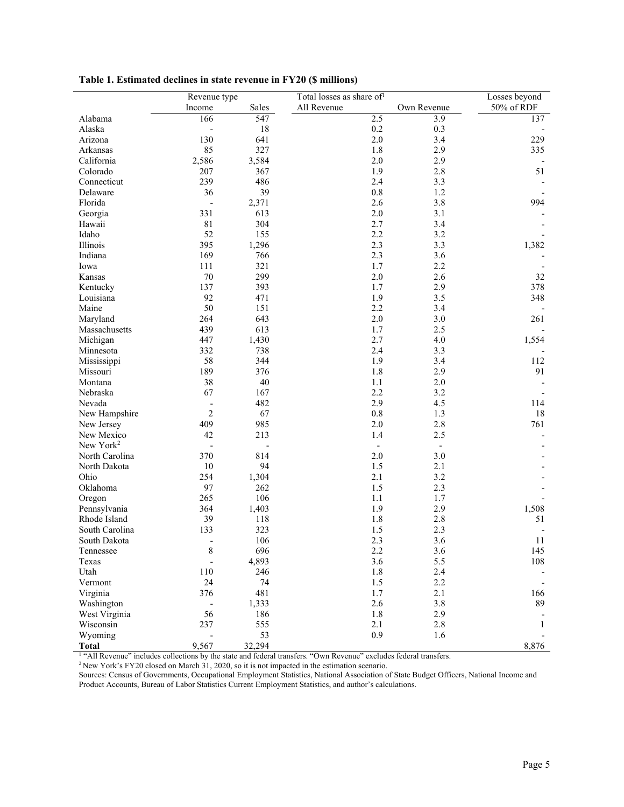|                                | Revenue type                          |        | Total losses as share of <sup>1</sup> |                          | Losses beyond |
|--------------------------------|---------------------------------------|--------|---------------------------------------|--------------------------|---------------|
|                                | Income                                | Sales  | All Revenue                           | Own Revenue              | 50% of RDF    |
| Alabama                        | 166                                   | 547    | 2.5                                   | 3.9                      | 137           |
| Alaska                         | $\overline{\phantom{0}}$              | 18     | 0.2                                   | 0.3                      |               |
| Arizona                        | 130                                   | 641    | 2.0                                   | 3.4                      | 229           |
| Arkansas                       | 85                                    | 327    | 1.8                                   | 2.9                      | 335           |
| California                     | 2,586                                 | 3,584  | 2.0                                   | 2.9                      |               |
| Colorado                       | 207                                   | 367    | 1.9                                   | 2.8                      | 51            |
| Connecticut                    | 239                                   | 486    | 2.4                                   | 3.3                      |               |
| Delaware                       | 36                                    | 39     | 0.8                                   | 1.2                      |               |
| Florida                        | $\overline{\phantom{a}}$              | 2,371  | 2.6                                   | 3.8                      | 994           |
| Georgia                        | 331                                   | 613    | 2.0                                   | 3.1                      |               |
| Hawaii                         | 81                                    | 304    | 2.7                                   | 3.4                      |               |
| Idaho                          | 52                                    | 155    | 2.2                                   | 3.2                      |               |
| Illinois                       | 395                                   | 1,296  | 2.3                                   | 3.3                      | 1,382         |
| Indiana                        | 169                                   | 766    | 2.3                                   | 3.6                      |               |
| Iowa                           | 111                                   | 321    | 1.7                                   | 2.2                      |               |
| Kansas                         | $70\,$                                | 299    | 2.0                                   | 2.6                      | 32            |
| Kentucky                       | 137                                   | 393    | 1.7                                   | 2.9                      | 378           |
| Louisiana                      | 92                                    | 471    | 1.9                                   | 3.5                      | 348           |
| Maine                          | 50                                    | 151    | 2.2                                   | 3.4                      |               |
| Maryland                       | 264                                   | 643    | 2.0                                   | 3.0                      | 261           |
| Massachusetts                  | 439                                   | 613    | 1.7                                   | 2.5                      |               |
| Michigan                       | 447                                   | 1,430  | 2.7                                   | 4.0                      | 1,554         |
| Minnesota                      | 332                                   | 738    | 2.4                                   | 3.3                      |               |
| Mississippi                    | 58                                    | 344    | 1.9                                   | 3.4                      | 112           |
| Missouri                       | 189                                   | 376    | 1.8                                   | 2.9                      | 91            |
| Montana                        | 38                                    | 40     | 1.1                                   | $2.0$                    |               |
| Nebraska                       | 67                                    | 167    | 2.2                                   | 3.2                      |               |
| Nevada                         | $\qquad \qquad \blacksquare$          | 482    | 2.9                                   | 4.5                      | 114           |
| New Hampshire                  | $\overline{c}$                        | 67     | 0.8                                   | 1.3                      | 18            |
|                                | 409                                   | 985    | 2.0                                   | 2.8                      | 761           |
| New Jersey<br>New Mexico       | 42                                    | 213    | 1.4                                   | 2.5                      |               |
| New York <sup>2</sup>          | $\blacksquare$                        |        | $\overline{\phantom{a}}$              | $\overline{\phantom{a}}$ |               |
| North Carolina                 | 370                                   | 814    | 2.0                                   | 3.0                      |               |
| North Dakota                   | 10                                    | 94     | 1.5                                   | 2.1                      |               |
| Ohio                           | 254                                   | 1,304  | 2.1                                   | 3.2                      |               |
| Oklahoma                       | 97                                    | 262    | 1.5                                   | 2.3                      |               |
|                                | 265                                   | 106    | 1.1                                   | 1.7                      |               |
| Oregon<br>Pennsylvania         | 364                                   | 1,403  | 1.9                                   | 2.9                      | 1,508         |
| Rhode Island                   | 39                                    | 118    | 1.8                                   | 2.8                      | 51            |
|                                | 133                                   | 323    | 1.5                                   | 2.3                      |               |
| South Carolina<br>South Dakota |                                       | 106    | 2.3                                   | 3.6                      | 11            |
| Tennessee                      | $\overline{\phantom{a}}$<br>$\,$ $\,$ | 696    | 2.2                                   | 3.6                      |               |
| Texas                          |                                       | 4,893  | 3.6                                   | 5.5                      | 145<br>108    |
| Utah                           | 110                                   | 246    | 1.8                                   | 2.4                      |               |
| Vermont                        | 24                                    | 74     | 1.5                                   | 2.2                      |               |
|                                |                                       |        |                                       |                          |               |
| Virginia                       | 376                                   | 481    | 1.7                                   | 2.1<br>3.8               | 166<br>89     |
| Washington                     | $\overline{\phantom{a}}$              | 1,333  | 2.6                                   |                          |               |
| West Virginia                  | 56                                    | 186    | 1.8                                   | 2.9                      |               |
| Wisconsin                      | 237                                   | 555    | 2.1                                   | $2.8\,$                  | 1             |
| Wyoming                        | $\frac{1}{2}$                         | 53     | 0.9                                   | 1.6                      |               |
| <b>Total</b>                   | 9,567                                 | 32,294 |                                       |                          | 8,876         |

**Table 1. Estimated declines in state revenue in FY20 (\$ millions)**

**Total** 8,887 32,294 8,876 1 2007 32,294 8,876 1 2007 1 "All Revenue" excludes federal transfers.

 $2$  New York's FY20 closed on March 31, 2020, so it is not impacted in the estimation scenario.

Sources: Census of Governments, Occupational Employment Statistics, National Association of State Budget Officers, National Income and Product Accounts, Bureau of Labor Statistics Current Employment Statistics, and author's calculations.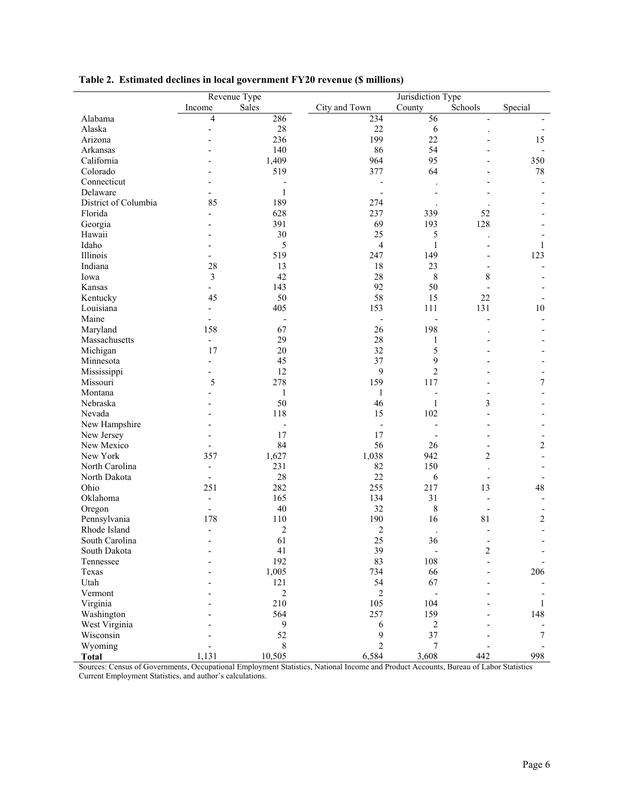|                      | Revenue Type             |                  |                          | Jurisdiction Type            |                              |                |  |
|----------------------|--------------------------|------------------|--------------------------|------------------------------|------------------------------|----------------|--|
|                      | Income                   | Sales            | City and Town            | County                       | Schools                      | Special        |  |
| Alabama              | 4                        | 286              | 234                      | 56                           | $\overline{\phantom{a}}$     |                |  |
| Alaska               |                          | 28               | 22                       | $\sqrt{6}$                   |                              |                |  |
| Arizona              |                          | 236              | 199                      | 22                           |                              | 15             |  |
| Arkansas             |                          | 140              | 86                       | 54                           |                              |                |  |
| California           |                          | 1,409            | 964                      | 95                           |                              | 350            |  |
| Colorado             |                          | 519              | 377                      | 64                           |                              | 78             |  |
| Connecticut          |                          |                  | $\overline{\phantom{a}}$ |                              |                              |                |  |
| Delaware             |                          |                  |                          |                              |                              |                |  |
| District of Columbia |                          | 1                |                          |                              |                              |                |  |
|                      | 85                       | 189              | 274                      |                              |                              |                |  |
| Florida              | $\overline{a}$           | 628              | 237                      | 339                          | 52                           |                |  |
| Georgia              |                          | 391              | 69                       | 193                          | 128                          |                |  |
| Hawaii               |                          | 30               | 25                       | 5                            |                              |                |  |
| Idaho                |                          | 5                | $\overline{4}$           | $\mathbf{1}$                 |                              | 1              |  |
| Illinois             | $\overline{\phantom{a}}$ | 519              | 247                      | 149                          | $\overline{a}$               | 123            |  |
| Indiana              | 28                       | 13               | 18                       | 23                           | $\overline{a}$               |                |  |
| Iowa                 | 3                        | 42               | 28                       | 8                            | 8                            |                |  |
| Kansas               | $\overline{a}$           | 143              | 92                       | 50                           | $\overline{a}$               |                |  |
| Kentucky             | 45                       | 50               | 58                       | 15                           | 22                           |                |  |
| Louisiana            | $\overline{a}$           | 405              | 153                      | 111                          | 131                          | $10\,$         |  |
| Maine                |                          |                  | $\overline{\phantom{a}}$ | $\overline{a}$               |                              |                |  |
| Maryland             | 158                      | 67               | 26                       | 198                          |                              |                |  |
| Massachusetts        | $\overline{\phantom{0}}$ | 29               | 28                       | 1                            |                              |                |  |
| Michigan             | 17                       | 20               | 32                       | 5                            |                              |                |  |
| Minnesota            |                          | 45               | 37                       | 9                            |                              |                |  |
| Mississippi          | $\overline{\phantom{a}}$ | 12               | 9                        | $\overline{c}$               |                              |                |  |
| Missouri             | 5                        | 278              | 159                      | 117                          |                              | $\tau$         |  |
| Montana              |                          | $\mathbf{1}$     | 1                        | $\overline{\phantom{0}}$     | $\overline{a}$               |                |  |
| Nebraska             |                          | 50               | 46                       | $\mathbf{1}$                 | 3                            |                |  |
| Nevada               |                          | 118              | 15                       | 102                          |                              |                |  |
| New Hampshire        |                          |                  |                          |                              |                              |                |  |
| New Jersey           |                          | 17               | 17                       |                              |                              |                |  |
|                      |                          | 84               | 56                       |                              |                              |                |  |
| New Mexico           | $\overline{\phantom{a}}$ |                  |                          | 26                           | $\qquad \qquad \blacksquare$ | $\overline{c}$ |  |
| New York             | 357                      | 1,627            | 1,038                    | 942                          | $\overline{c}$               |                |  |
| North Carolina       | $\overline{\phantom{a}}$ | 231              | 82                       | 150                          |                              |                |  |
| North Dakota         | $\overline{\phantom{a}}$ | 28               | 22                       | 6                            | $\overline{\phantom{a}}$     |                |  |
| Ohio                 | 251                      | 282              | 255                      | 217                          | 13                           | 48             |  |
| Oklahoma             | $\overline{a}$           | 165              | 134                      | 31                           | $\overline{a}$               |                |  |
| Oregon               |                          | 40               | 32                       | $\,$ $\,$                    |                              |                |  |
| Pennsylvania         | 178                      | 110              | 190                      | 16                           | 81                           | 2              |  |
| Rhode Island         | $\overline{\phantom{a}}$ | 2                | $\overline{c}$           |                              |                              |                |  |
| South Carolina       | $\overline{\phantom{a}}$ | 61               | 25                       | 36                           |                              |                |  |
| South Dakota         |                          | 41               | 39                       | $\qquad \qquad \blacksquare$ | 2                            |                |  |
| Tennessee            | $\overline{a}$           | 192              | 83                       | 108                          | $\overline{a}$               |                |  |
| Texas                |                          | 1,005            | 734                      | 66                           |                              | 206            |  |
| Utah                 |                          | 121              | 54                       | 67                           |                              |                |  |
| Vermont              |                          | $\boldsymbol{2}$ | 2                        |                              |                              |                |  |
| Virginia             |                          | 210              | 105                      | 104                          |                              | 1              |  |
| Washington           |                          | 564              | 257                      | 159                          |                              | 148            |  |
| West Virginia        |                          | 9                | $\sqrt{6}$               | 2                            |                              |                |  |
| Wisconsin            |                          | 52               | 9                        | 37                           |                              | 7              |  |
| Wyoming              |                          | 8                | $\overline{c}$           | 7                            |                              |                |  |
| <b>Total</b>         | 1,131                    | 10,505           | 6,584                    | 3,608                        | 442                          | 998            |  |

# **Table 2. Estimated declines in local government FY20 revenue (\$ millions)**

Sources: Census of Governments, Occupational Employment Statistics, National Income and Product Accounts, Bureau of Labor Statistics Current Employment Statistics, and author's calculations.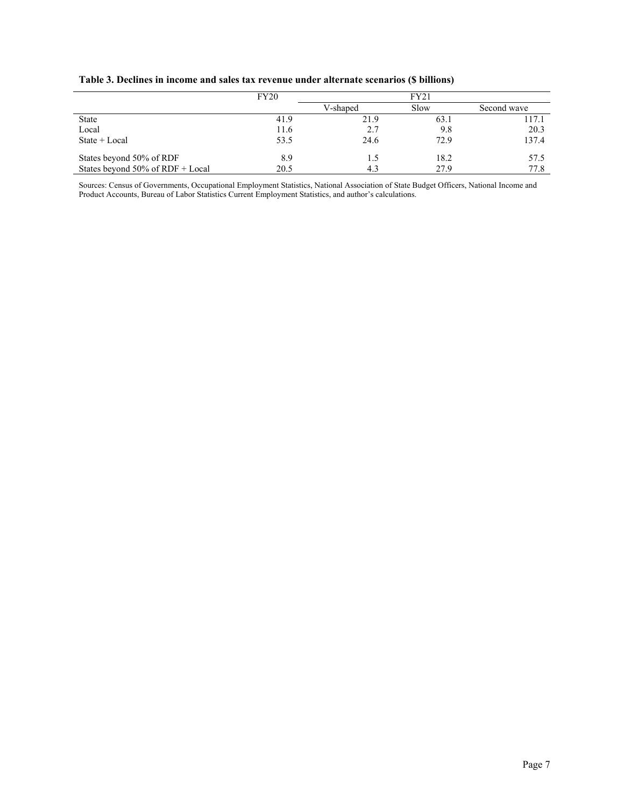|                                  | FY20 |          |      |             |
|----------------------------------|------|----------|------|-------------|
|                                  |      | V-shaped | Slow | Second wave |
| <b>State</b>                     | 41.9 | 21.9     | 63.1 | 117.1       |
| Local                            | 11.6 | 2.7      | 9.8  | 20.3        |
| State $+$ Local                  | 53.5 | 24.6     | 72.9 | 137.4       |
| States beyond 50% of RDF         | 8.9  | 1.5      | 18.2 | 57.5        |
| States beyond 50% of RDF + Local | 20.5 | 4.3      | 27.9 | 77.8        |

**Table 3. Declines in income and sales tax revenue under alternate scenarios (\$ billions)**

Sources: Census of Governments, Occupational Employment Statistics, National Association of State Budget Officers, National Income and Product Accounts, Bureau of Labor Statistics Current Employment Statistics, and author's calculations.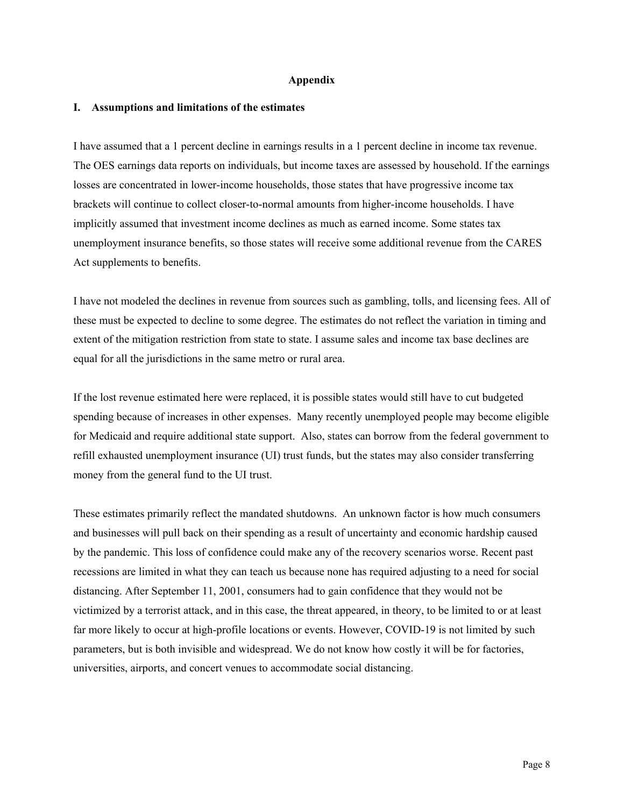#### **Appendix**

#### **I. Assumptions and limitations of the estimates**

I have assumed that a 1 percent decline in earnings results in a 1 percent decline in income tax revenue. The OES earnings data reports on individuals, but income taxes are assessed by household. If the earnings losses are concentrated in lower-income households, those states that have progressive income tax brackets will continue to collect closer-to-normal amounts from higher-income households. I have implicitly assumed that investment income declines as much as earned income. Some states tax unemployment insurance benefits, so those states will receive some additional revenue from the CARES Act supplements to benefits.

I have not modeled the declines in revenue from sources such as gambling, tolls, and licensing fees. All of these must be expected to decline to some degree. The estimates do not reflect the variation in timing and extent of the mitigation restriction from state to state. I assume sales and income tax base declines are equal for all the jurisdictions in the same metro or rural area.

If the lost revenue estimated here were replaced, it is possible states would still have to cut budgeted spending because of increases in other expenses. Many recently unemployed people may become eligible for Medicaid and require additional state support. Also, states can borrow from the federal government to refill exhausted unemployment insurance (UI) trust funds, but the states may also consider transferring money from the general fund to the UI trust.

These estimates primarily reflect the mandated shutdowns. An unknown factor is how much consumers and businesses will pull back on their spending as a result of uncertainty and economic hardship caused by the pandemic. This loss of confidence could make any of the recovery scenarios worse. Recent past recessions are limited in what they can teach us because none has required adjusting to a need for social distancing. After September 11, 2001, consumers had to gain confidence that they would not be victimized by a terrorist attack, and in this case, the threat appeared, in theory, to be limited to or at least far more likely to occur at high-profile locations or events. However, COVID-19 is not limited by such parameters, but is both invisible and widespread. We do not know how costly it will be for factories, universities, airports, and concert venues to accommodate social distancing.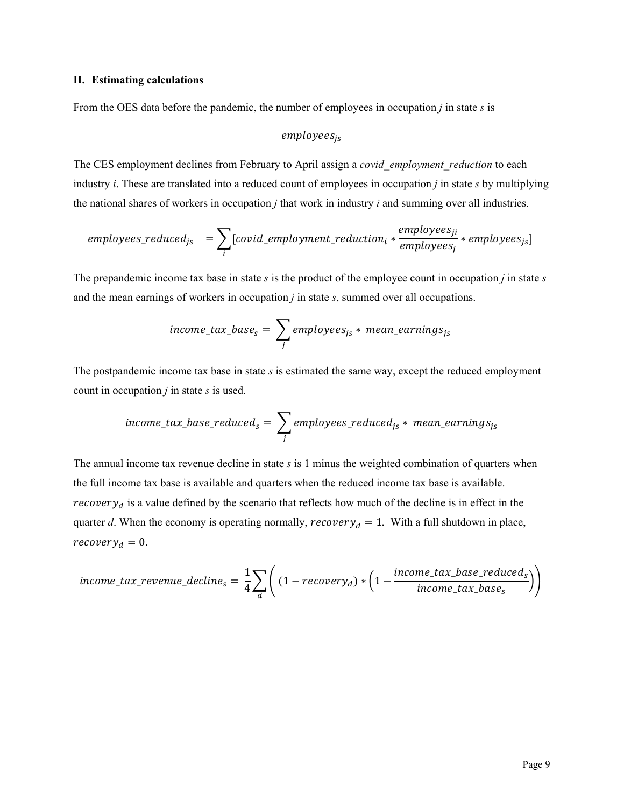### **II. Estimating calculations**

From the OES data before the pandemic, the number of employees in occupation *j* in state *s* is

## $employees_{is}$

The CES employment declines from February to April assign a *covid\_employment\_reduction* to each industry *i*. These are translated into a reduced count of employees in occupation *j* in state *s* by multiplying the national shares of workers in occupation *j* that work in industry *i* and summing over all industries.

$$
employee s\_reduced_{js} = \sum_{i} [covid\_emplogment\_reduction_{i} * \frac{employes_{ji}}{employes_{j}} * employee s_{js}]
$$

The prepandemic income tax base in state *s* is the product of the employee count in occupation *j* in state *s* and the mean earnings of workers in occupation *j* in state *s*, summed over all occupations.

$$
income\_tax\_base_s = \sum_j \, employees_{js} * \,mean\_earnings_{js}
$$

The postpandemic income tax base in state *s* is estimated the same way, except the reduced employment count in occupation *j* in state *s* is used.

$$
income\_tax\_base\_reduced_s = \sum_j employpes\_reduced_{js} * mean\_earnings_{js}
$$

The annual income tax revenue decline in state *s* is 1 minus the weighted combination of quarters when the full income tax base is available and quarters when the reduced income tax base is available. *recovery<sub>d</sub>* is a value defined by the scenario that reflects how much of the decline is in effect in the quarter *d*. When the economy is operating normally,  $recovery_d = 1$ . With a full shutdown in place,  $recovery<sub>d</sub> = 0.$ 

$$
income\_tax\_revenue\_decline_s = \frac{1}{4} \sum_{d} \left( (1-recovery_d) * \left(1 - \frac{income\_tax\_base\_reduced_s}{income\_tax\_base_s}\right) \right)
$$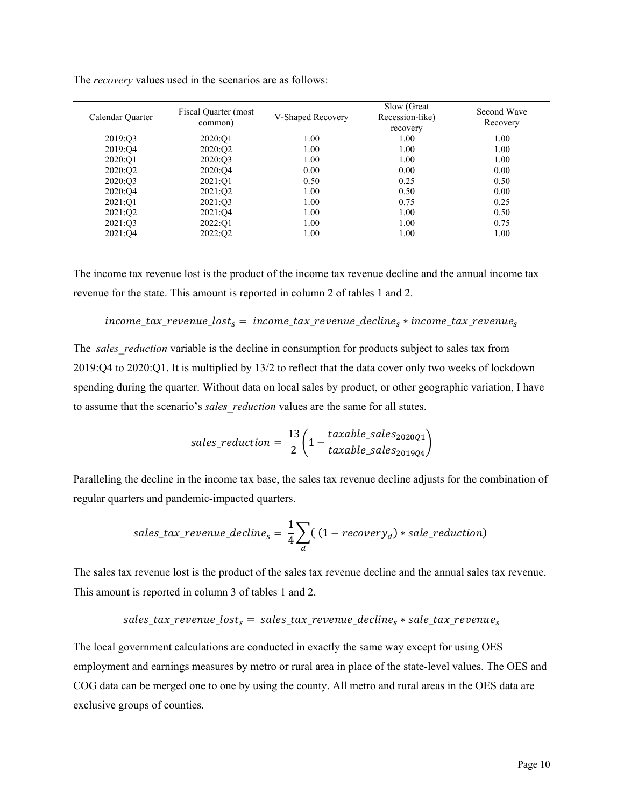| Calendar Quarter    | Fiscal Quarter (most<br>common) | V-Shaped Recovery | Slow (Great)<br>Recession-like)<br>recovery | Second Wave<br>Recovery |
|---------------------|---------------------------------|-------------------|---------------------------------------------|-------------------------|
| 2019:03             | 2020:O1                         | 1.00              | 1.00                                        | 1.00                    |
| 2019:04             | 2020:Q2                         | 1.00              | 1.00                                        | 1.00                    |
| 2020:O1             | 2020:03                         | 1.00              | 1.00                                        | 1.00                    |
| 2020:O <sub>2</sub> | 2020:O4                         | 0.00              | 0.00                                        | 0.00                    |
| 2020:03             | 2021:Q1                         | 0.50              | 0.25                                        | 0.50                    |
| 2020:04             | 2021:Q2                         | 1.00              | 0.50                                        | 0.00                    |
| 2021:01             | 2021:03                         | 1.00              | 0.75                                        | 0.25                    |
| 2021:02             | 2021:04                         | 1.00              | 1.00                                        | 0.50                    |
| 2021:Q3             | 2022:Q1                         | 1.00              | 1.00                                        | 0.75                    |
| 2021:04             | 2022:Q2                         | 1.00              | 1.00                                        | 1.00                    |

The *recovery* values used in the scenarios are as follows:

The income tax revenue lost is the product of the income tax revenue decline and the annual income tax revenue for the state. This amount is reported in column 2 of tables 1 and 2.

### $income\_tax\_revenue\_lost_s = income\_tax\_revenue\_decline_s * income\_tax\_revenue_s$

The *sales\_reduction* variable is the decline in consumption for products subject to sales tax from 2019:Q4 to 2020:Q1. It is multiplied by 13/2 to reflect that the data cover only two weeks of lockdown spending during the quarter. Without data on local sales by product, or other geographic variation, I have to assume that the scenario's *sales\_reduction* values are the same for all states.

$$
sales\_reduction = \frac{13}{2} \bigg( 1 - \frac{taxable\_sales_{2020Q1}}{taxable\_sales_{2019Q4}} \bigg)
$$

Paralleling the decline in the income tax base, the sales tax revenue decline adjusts for the combination of regular quarters and pandemic-impacted quarters.

$$
sales\_tax\_revenue\_decline_s = \frac{1}{4} \sum_d ((1-recovery_d) * sale\_reduction)
$$

The sales tax revenue lost is the product of the sales tax revenue decline and the annual sales tax revenue. This amount is reported in column 3 of tables 1 and 2.

$$
sales\_tax\_revenue\_lost_s = sales\_tax\_revenue\_decline_s * sale\_tax\_revenue_s
$$

The local government calculations are conducted in exactly the same way except for using OES employment and earnings measures by metro or rural area in place of the state-level values. The OES and COG data can be merged one to one by using the county. All metro and rural areas in the OES data are exclusive groups of counties.